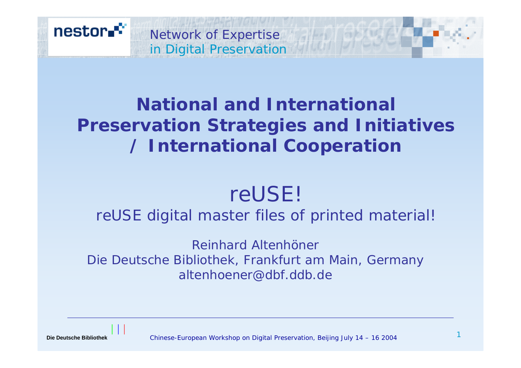

## **National and International Preservation Strategies and Initiatives / International Cooperation**

# reUSE!

### reUSE digital master files of printed material!

*Reinhard AltenhönerDie Deutsche Bibliothek, Frankfurt am Main, Germany altenhoener@dbf.ddb.de*

**Die Deutsche Bibliothek**

Chinese-European Workshop on Digital Preservation, Beijing July 14 – 16 2004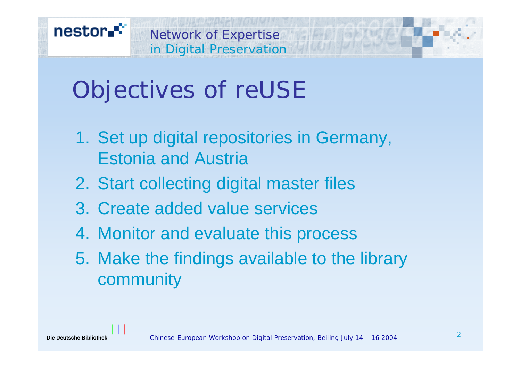

# Objectives of reUSE

- 1. Set up digital repositories in Germany, Estonia and Austria
- 2. Start collecting digital master files
- 3. Create added value services
- 4. Monitor and evaluate this process
- 5. Make the findings available to the library community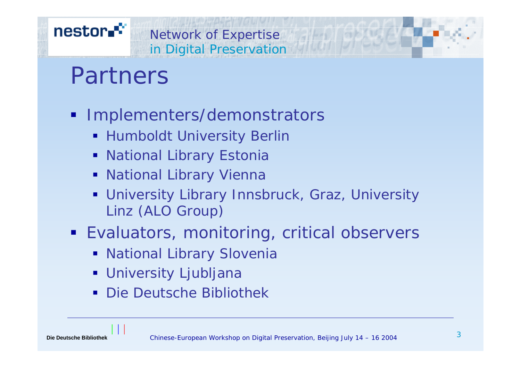## nestor.<sup>\*\*</sup>

# in Digital Preservation Partners

**Implementers/demonstrators** 

Network of Expertise

- **-** Humboldt University Berlir
- **National Library Estonia**
- **National Library Vienna**
- University Library Innsbruck, Graz, University Linz (ALO Group)
- **Evaluators, monitoring, critical observers** 
	- **National Library Slovenia**
	- University Ljubljana
	- Die Deutsche Bibliothek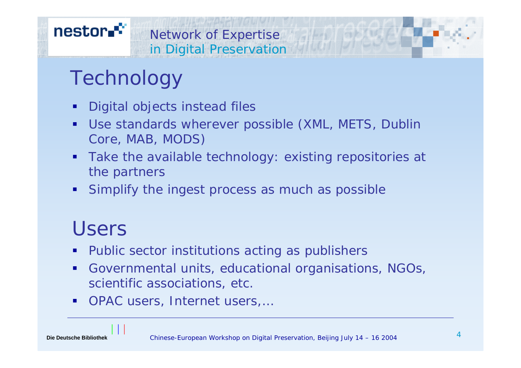### nestor.<sup>\*\*</sup> Network of Expertise in Digital Preservation

# **Technology**

- $\blacksquare$ Digital objects instead files
- $\blacksquare$  Use standards wherever possible (XML, METS, Dublin Core, MAB, MODS)
- $\blacksquare$  Take the available technology: existing repositories at the partners
- $\blacksquare$ Simplify the ingest process as much as possible

# Users

- I. Public sector institutions acting as publishers
- $\blacksquare$  Governmental units, educational organisations, NGOs, scientific associations, etc.
- $\blacksquare$ OPAC users, Internet users,…